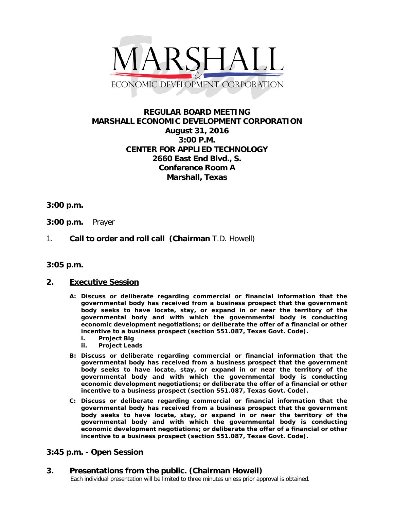

# **REGULAR BOARD MEETING MARSHALL ECONOMIC DEVELOPMENT CORPORATION August 31, 2016 3:00 P.M. CENTER FOR APPLIED TECHNOLOGY 2660 East End Blvd., S. Conference Room A Marshall, Texas**

### **3:00 p.m.**

- **3:00 p.m.** Prayer
- 1. **Call to order and roll call (Chairman** T.D. Howell)
- **3:05 p.m.**

#### **2. Executive Session**

- **A: Discuss or deliberate regarding commercial or financial information that the governmental body has received from a business prospect that the government body seeks to have locate, stay, or expand in or near the territory of the governmental body and with which the governmental body is conducting economic development negotiations; or deliberate the offer of a financial or other incentive to a business prospect (section 551.087, Texas Govt. Code).**
	- **i. Project Big**
	- **ii. Project Leads**
- **B: Discuss or deliberate regarding commercial or financial information that the governmental body has received from a business prospect that the government body seeks to have locate, stay, or expand in or near the territory of the governmental body and with which the governmental body is conducting economic development negotiations; or deliberate the offer of a financial or other incentive to a business prospect (section 551.087, Texas Govt. Code).**
- **C: Discuss or deliberate regarding commercial or financial information that the governmental body has received from a business prospect that the government body seeks to have locate, stay, or expand in or near the territory of the governmental body and with which the governmental body is conducting economic development negotiations; or deliberate the offer of a financial or other incentive to a business prospect (section 551.087, Texas Govt. Code).**

### **3:45 p.m. - Open Session**

**3. Presentations from the public. (Chairman Howell)**<br>Each individual presentation will be limited to three minutes unless prior approval is obtained.